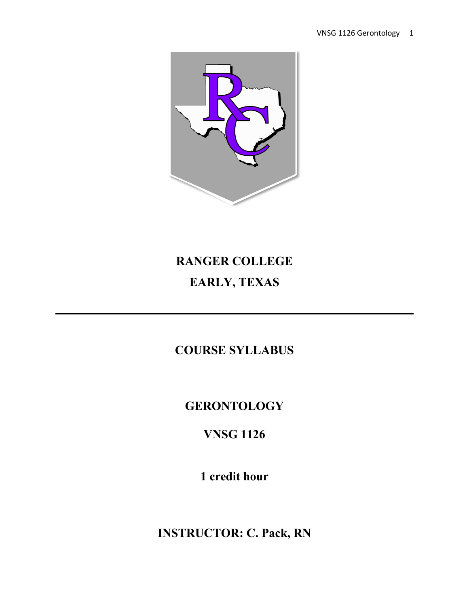

# **RANGER COLLEGE EARLY, TEXAS**

**COURSE SYLLABUS**

## **GERONTOLOGY**

## **VNSG 1126**

**1 credit hour**

**INSTRUCTOR: C. Pack, RN**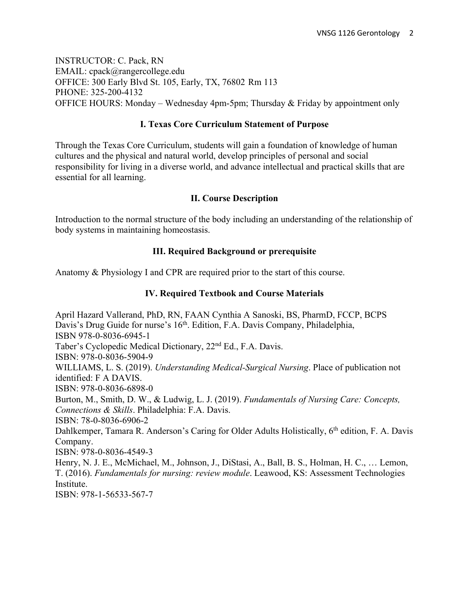INSTRUCTOR: C. Pack, RN EMAIL: cpack@rangercollege.edu OFFICE: 300 Early Blvd St. 105, Early, TX, 76802 Rm 113 PHONE: 325-200-4132 OFFICE HOURS: Monday – Wednesday 4pm-5pm; Thursday  $\&$  Friday by appointment only

## **I. Texas Core Curriculum Statement of Purpose**

Through the Texas Core Curriculum, students will gain a foundation of knowledge of human cultures and the physical and natural world, develop principles of personal and social responsibility for living in a diverse world, and advance intellectual and practical skills that are essential for all learning.

## **II. Course Description**

Introduction to the normal structure of the body including an understanding of the relationship of body systems in maintaining homeostasis.

## **III. Required Background or prerequisite**

Anatomy & Physiology I and CPR are required prior to the start of this course.

## **IV. Required Textbook and Course Materials**

April Hazard Vallerand, PhD, RN, FAAN Cynthia A Sanoski, BS, PharmD, FCCP, BCPS Davis's Drug Guide for nurse's 16<sup>th</sup>. Edition, F.A. Davis Company, Philadelphia, ISBN 978-0-8036-6945-1 Taber's Cyclopedic Medical Dictionary, 22nd Ed., F.A. Davis. ISBN: 978-0-8036-5904-9 WILLIAMS, L. S. (2019). *Understanding Medical-Surgical Nursing*. Place of publication not identified: F A DAVIS. ISBN: 978-0-8036-6898-0 Burton, M., Smith, D. W., & Ludwig, L. J. (2019). *Fundamentals of Nursing Care: Concepts, Connections & Skills*. Philadelphia: F.A. Davis. ISBN: 78-0-8036-6906-2 Dahlkemper, Tamara R. Anderson's Caring for Older Adults Holistically, 6<sup>th</sup> edition, F. A. Davis Company. ISBN: 978-0-8036-4549-3 Henry, N. J. E., McMichael, M., Johnson, J., DiStasi, A., Ball, B. S., Holman, H. C., … Lemon, T. (2016). *Fundamentals for nursing: review module*. Leawood, KS: Assessment Technologies Institute. ISBN: 978-1-56533-567-7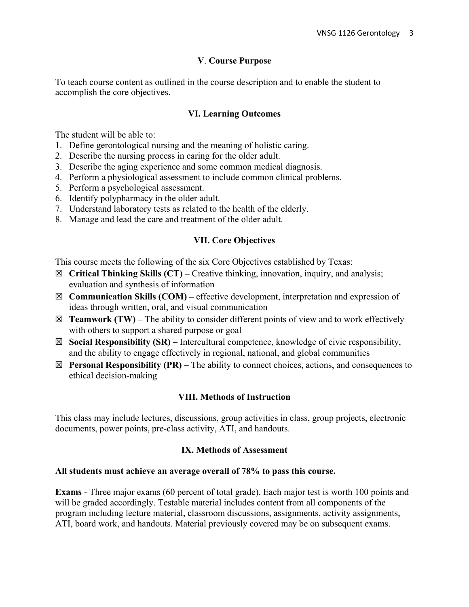## **V**. **Course Purpose**

To teach course content as outlined in the course description and to enable the student to accomplish the core objectives.

## **VI. Learning Outcomes**

The student will be able to:

- 1. Define gerontological nursing and the meaning of holistic caring.
- 2. Describe the nursing process in caring for the older adult.
- 3. Describe the aging experience and some common medical diagnosis.
- 4. Perform a physiological assessment to include common clinical problems.
- 5. Perform a psychological assessment.
- 6. Identify polypharmacy in the older adult.
- 7. Understand laboratory tests as related to the health of the elderly.
- 8. Manage and lead the care and treatment of the older adult.

#### **VII. Core Objectives**

This course meets the following of the six Core Objectives established by Texas:

- ☒ **Critical Thinking Skills (CT) –** Creative thinking, innovation, inquiry, and analysis; evaluation and synthesis of information
- ☒ **Communication Skills (COM) –** effective development, interpretation and expression of ideas through written, oral, and visual communication
- $\boxtimes$  **Teamwork (TW)** The ability to consider different points of view and to work effectively with others to support a shared purpose or goal
- ☒ **Social Responsibility (SR) –** Intercultural competence, knowledge of civic responsibility, and the ability to engage effectively in regional, national, and global communities
- ☒ **Personal Responsibility (PR) –** The ability to connect choices, actions, and consequences to ethical decision-making

#### **VIII. Methods of Instruction**

This class may include lectures, discussions, group activities in class, group projects, electronic documents, power points, pre-class activity, ATI, and handouts.

#### **IX. Methods of Assessment**

#### **All students must achieve an average overall of 78% to pass this course.**

**Exams** - Three major exams (60 percent of total grade). Each major test is worth 100 points and will be graded accordingly. Testable material includes content from all components of the program including lecture material, classroom discussions, assignments, activity assignments, ATI, board work, and handouts. Material previously covered may be on subsequent exams.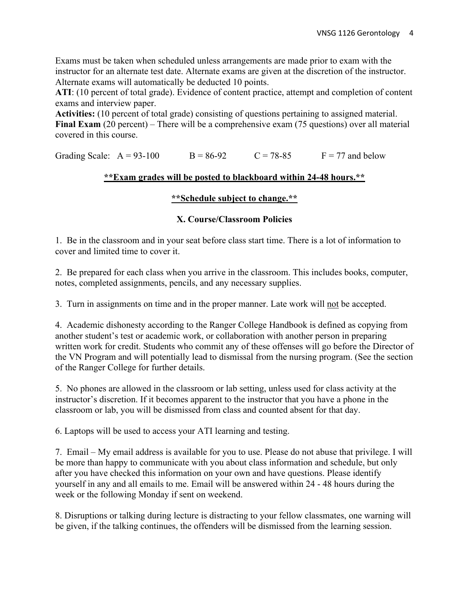Exams must be taken when scheduled unless arrangements are made prior to exam with the instructor for an alternate test date. Alternate exams are given at the discretion of the instructor. Alternate exams will automatically be deducted 10 points.

**ATI**: (10 percent of total grade). Evidence of content practice, attempt and completion of content exams and interview paper.

**Activities:** (10 percent of total grade) consisting of questions pertaining to assigned material. **Final Exam** (20 percent) – There will be a comprehensive exam (75 questions) over all material covered in this course.

Grading Scale:  $A = 93-100$  B = 86-92 C = 78-85 F = 77 and below

## **\*\*Exam grades will be posted to blackboard within 24-48 hours.\*\***

## **\*\*Schedule subject to change.\*\***

## **X. Course/Classroom Policies**

1. Be in the classroom and in your seat before class start time. There is a lot of information to cover and limited time to cover it.

2. Be prepared for each class when you arrive in the classroom. This includes books, computer, notes, completed assignments, pencils, and any necessary supplies.

3. Turn in assignments on time and in the proper manner. Late work will not be accepted.

4. Academic dishonesty according to the Ranger College Handbook is defined as copying from another student's test or academic work, or collaboration with another person in preparing written work for credit. Students who commit any of these offenses will go before the Director of the VN Program and will potentially lead to dismissal from the nursing program. (See the section of the Ranger College for further details.

5. No phones are allowed in the classroom or lab setting, unless used for class activity at the instructor's discretion. If it becomes apparent to the instructor that you have a phone in the classroom or lab, you will be dismissed from class and counted absent for that day.

6. Laptops will be used to access your ATI learning and testing.

7. Email – My email address is available for you to use. Please do not abuse that privilege. I will be more than happy to communicate with you about class information and schedule, but only after you have checked this information on your own and have questions. Please identify yourself in any and all emails to me. Email will be answered within 24 - 48 hours during the week or the following Monday if sent on weekend.

8. Disruptions or talking during lecture is distracting to your fellow classmates, one warning will be given, if the talking continues, the offenders will be dismissed from the learning session.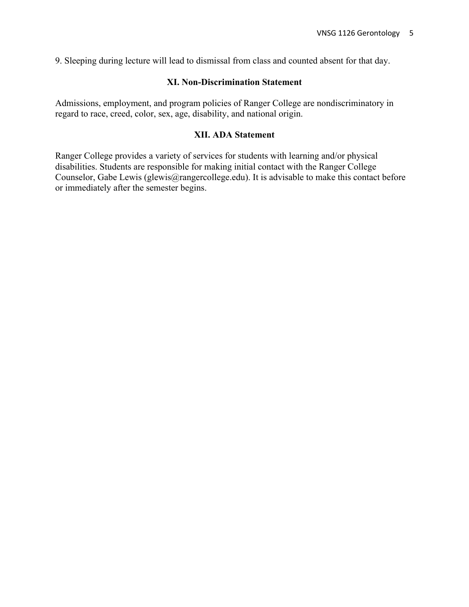9. Sleeping during lecture will lead to dismissal from class and counted absent for that day.

## **XI. Non-Discrimination Statement**

Admissions, employment, and program policies of Ranger College are nondiscriminatory in regard to race, creed, color, sex, age, disability, and national origin.

### **XII. ADA Statement**

Ranger College provides a variety of services for students with learning and/or physical disabilities. Students are responsible for making initial contact with the Ranger College Counselor, Gabe Lewis (glewis@rangercollege.edu). It is advisable to make this contact before or immediately after the semester begins.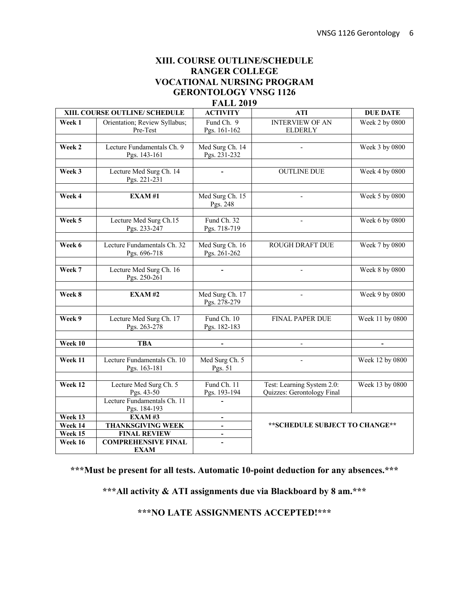## **XIII. COURSE OUTLINE/SCHEDULE RANGER COLLEGE VOCATIONAL NURSING PROGRAM GERONTOLOGY VNSG 1126**

## **FALL 2019**

| XIII. COURSE OUTLINE/ SCHEDULE |                               | <b>ACTIVITY</b>          | <b>ATI</b>                      | <b>DUE DATE</b> |
|--------------------------------|-------------------------------|--------------------------|---------------------------------|-----------------|
| Week 1                         | Orientation; Review Syllabus; | Fund Ch. 9               | <b>INTERVIEW OF AN</b>          | Week 2 by 0800  |
|                                | Pre-Test                      | Pgs. 161-162             | <b>ELDERLY</b>                  |                 |
|                                |                               |                          |                                 |                 |
| Week 2                         | Lecture Fundamentals Ch. 9    | Med Surg Ch. 14          | $\overline{a}$                  | Week 3 by 0800  |
|                                | Pgs. 143-161                  | Pgs. 231-232             |                                 |                 |
|                                |                               |                          |                                 |                 |
| Week 3                         | Lecture Med Surg Ch. 14       |                          | <b>OUTLINE DUE</b>              | Week 4 by 0800  |
|                                | Pgs. 221-231                  |                          |                                 |                 |
|                                |                               |                          |                                 |                 |
| Week 4                         | EXAM#1                        | Med Surg Ch. 15          |                                 | Week 5 by 0800  |
|                                |                               | Pgs. 248                 |                                 |                 |
|                                |                               |                          |                                 |                 |
| Week 5                         | Lecture Med Surg Ch.15        | Fund Ch. 32              | $\overline{\phantom{a}}$        | Week 6 by 0800  |
|                                | Pgs. 233-247                  | Pgs. 718-719             |                                 |                 |
|                                |                               |                          |                                 |                 |
| Week 6                         | Lecture Fundamentals Ch. 32   | Med Surg Ch. 16          | <b>ROUGH DRAFT DUE</b>          | Week 7 by 0800  |
|                                | Pgs. 696-718                  | Pgs. 261-262             |                                 |                 |
| Week 7                         | Lecture Med Surg Ch. 16       |                          |                                 | Week 8 by 0800  |
|                                | Pgs. 250-261                  |                          |                                 |                 |
|                                |                               |                          |                                 |                 |
| Week 8                         | <b>EXAM#2</b>                 | Med Surg Ch. 17          | $\bar{a}$                       | Week 9 by 0800  |
|                                |                               | Pgs. 278-279             |                                 |                 |
|                                |                               |                          |                                 |                 |
| Week 9                         | Lecture Med Surg Ch. 17       | Fund Ch. 10              | <b>FINAL PAPER DUE</b>          | Week 11 by 0800 |
|                                | Pgs. 263-278                  | Pgs. 182-183             |                                 |                 |
|                                |                               |                          |                                 |                 |
| Week 10                        | <b>TBA</b>                    |                          |                                 |                 |
|                                |                               |                          |                                 |                 |
| Week 11                        | Lecture Fundamentals Ch. 10   | Med Surg Ch. 5           | $\overline{a}$                  | Week 12 by 0800 |
|                                | Pgs. 163-181                  | Pgs. 51                  |                                 |                 |
|                                |                               |                          |                                 |                 |
| Week 12                        | Lecture Med Surg Ch. 5        | Fund Ch. 11              | Test: Learning System 2.0:      | Week 13 by 0800 |
|                                | Pgs. 43-50                    | Pgs. 193-194             | Quizzes: Gerontology Final      |                 |
|                                | Lecture Fundamentals Ch. 11   |                          |                                 |                 |
|                                | Pgs. 184-193                  |                          |                                 |                 |
| Week 13                        | <b>EXAM#3</b>                 |                          | ** SCHEDULE SUBJECT TO CHANGE** |                 |
| Week 14                        | <b>THANKSGIVING WEEK</b>      | $\blacksquare$           |                                 |                 |
| Week 15                        | <b>FINAL REVIEW</b>           | $\overline{\phantom{a}}$ |                                 |                 |
| Week 16                        | <b>COMPREHENSIVE FINAL</b>    | $\overline{\phantom{a}}$ |                                 |                 |
|                                | <b>EXAM</b>                   |                          |                                 |                 |

**\*\*\*Must be present for all tests. Automatic 10-point deduction for any absences.\*\*\***

**\*\*\*All activity & ATI assignments due via Blackboard by 8 am.\*\*\***

**\*\*\*NO LATE ASSIGNMENTS ACCEPTED!\*\*\***